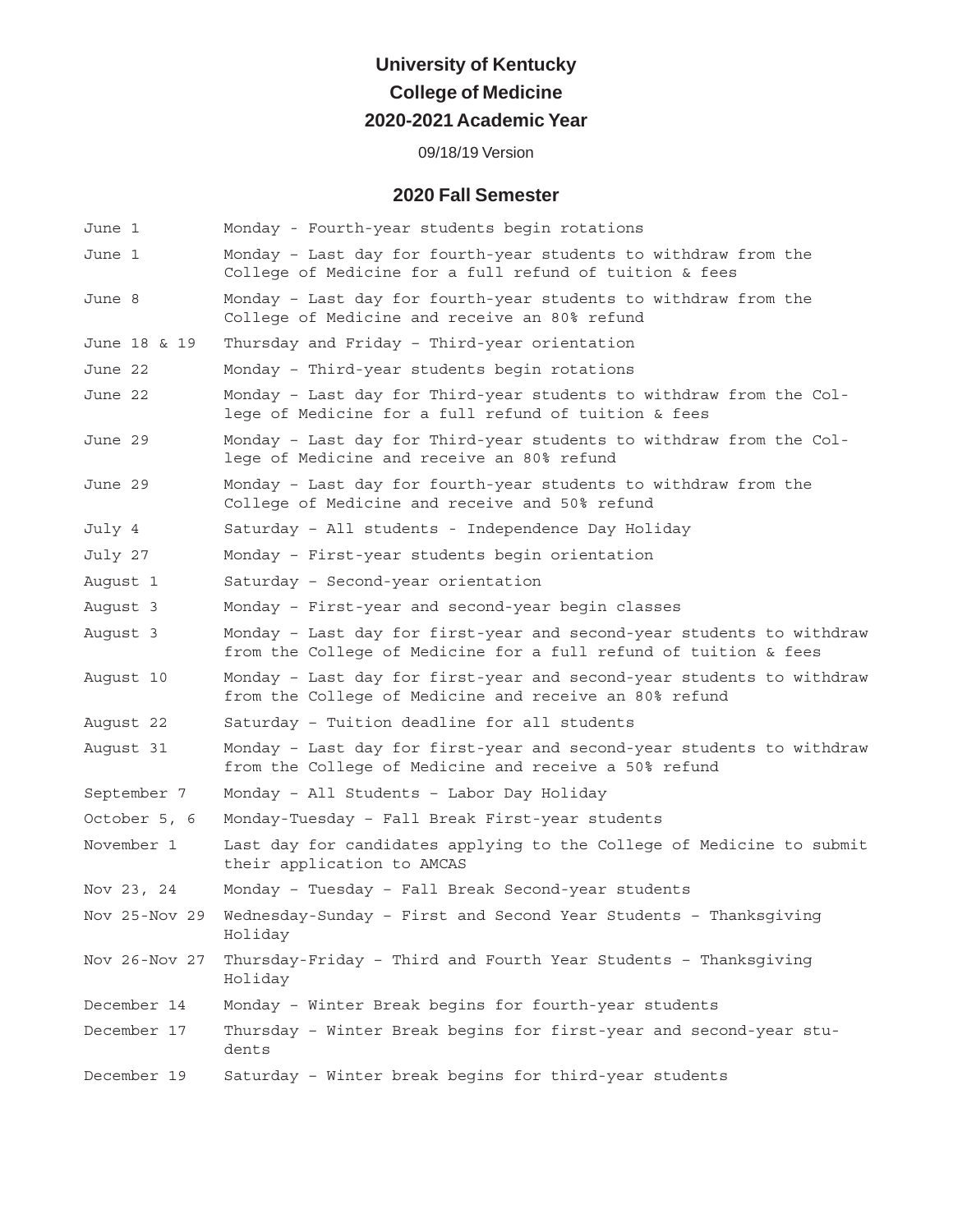# **University of Kentucky College of Medicine 2020-2021 Academic Year**

### 09/18/19 Version

## **2020 Fall Semester**

| June 1        | Monday - Fourth-year students begin rotations                                                                                             |  |
|---------------|-------------------------------------------------------------------------------------------------------------------------------------------|--|
| June 1        | Monday - Last day for fourth-year students to withdraw from the<br>College of Medicine for a full refund of tuition & fees                |  |
| June 8        | Monday - Last day for fourth-year students to withdraw from the<br>College of Medicine and receive an 80% refund                          |  |
| June 18 & 19  | Thursday and Friday - Third-year orientation                                                                                              |  |
| June 22       | Monday - Third-year students begin rotations                                                                                              |  |
| June 22       | Monday - Last day for Third-year students to withdraw from the Col-<br>lege of Medicine for a full refund of tuition & fees               |  |
| June 29       | Monday - Last day for Third-year students to withdraw from the Col-<br>lege of Medicine and receive an 80% refund                         |  |
| June 29       | Monday - Last day for fourth-year students to withdraw from the<br>College of Medicine and receive and 50% refund                         |  |
| July 4        | Saturday - All students - Independence Day Holiday                                                                                        |  |
| July 27       | Monday - First-year students begin orientation                                                                                            |  |
| August 1      | Saturday - Second-year orientation                                                                                                        |  |
| August 3      | Monday - First-year and second-year begin classes                                                                                         |  |
| August 3      | Monday - Last day for first-year and second-year students to withdraw<br>from the College of Medicine for a full refund of tuition & fees |  |
| August 10     | Monday - Last day for first-year and second-year students to withdraw<br>from the College of Medicine and receive an 80% refund           |  |
| August 22     | Saturday - Tuition deadline for all students                                                                                              |  |
| August 31     | Monday - Last day for first-year and second-year students to withdraw<br>from the College of Medicine and receive a 50% refund            |  |
| September 7   | Monday - All Students - Labor Day Holiday                                                                                                 |  |
| October 5, 6  | Monday-Tuesday - Fall Break First-year students                                                                                           |  |
| November 1    | Last day for candidates applying to the College of Medicine to submit<br>their application to AMCAS                                       |  |
| Nov 23, 24    | Monday - Tuesday - Fall Break Second-year students                                                                                        |  |
| Nov 25-Nov 29 | Wednesday-Sunday - First and Second Year Students - Thanksgiving<br>Holiday                                                               |  |
| Nov 26-Nov 27 | Thursday-Friday - Third and Fourth Year Students - Thanksgiving<br>Holiday                                                                |  |
| December 14   | Monday - Winter Break begins for fourth-year students                                                                                     |  |
| December 17   | Thursday - Winter Break begins for first-year and second-year stu-<br>dents                                                               |  |
| December 19   | Saturday - Winter break begins for third-year students                                                                                    |  |